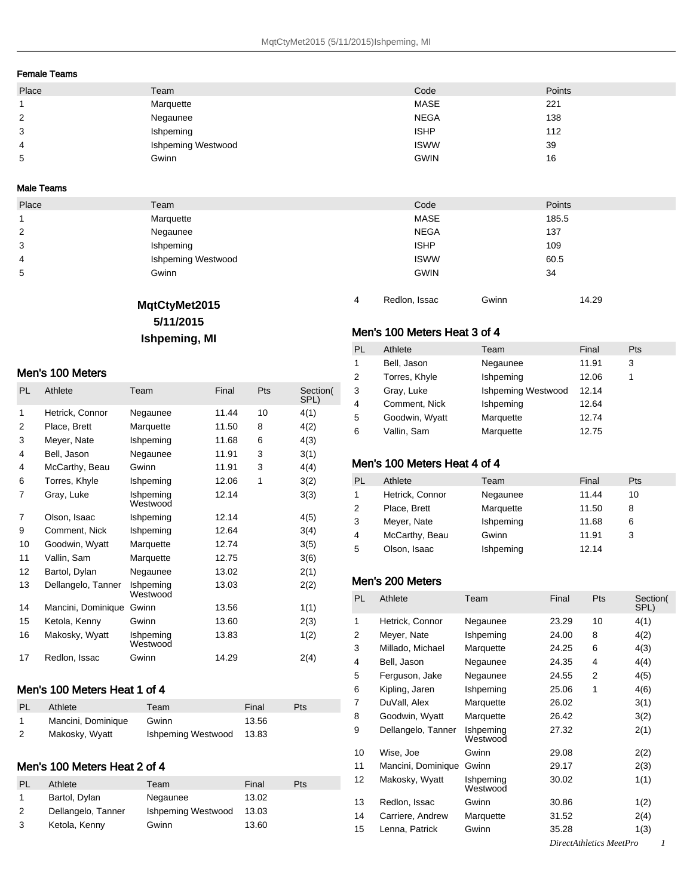#### Female Teams

| Place | Team                      | Code        | Points |
|-------|---------------------------|-------------|--------|
|       | Marquette                 | <b>MASE</b> | 221    |
| 2     | Negaunee                  | <b>NEGA</b> | 138    |
| 3     | Ishpeming                 | <b>ISHP</b> | 112    |
| 4     | <b>Ishpeming Westwood</b> | <b>ISWW</b> | 39     |
| 5     | Gwinn                     | <b>GWIN</b> | 16     |

#### Male Teams

| Place          | Team                      | Code        | <b>Points</b> |
|----------------|---------------------------|-------------|---------------|
|                | Marquette                 | <b>MASE</b> | 185.5         |
| $\overline{2}$ | Negaunee                  | <b>NEGA</b> | 137           |
| 3              | Ishpeming                 | <b>ISHP</b> | 109           |
| 4              | <b>Ishpeming Westwood</b> | <b>ISWW</b> | 60.5          |
| 5              | Gwinn                     | <b>GWIN</b> | 34            |

### **MqtCtyMet2015**

#### **5/11/2015**

# **Ishpeming, MI**

#### Men's 100 Meters

| <b>PL</b> | Athlete            | Team                  | Final | Pts | Section(<br>SPL) |
|-----------|--------------------|-----------------------|-------|-----|------------------|
| 1         | Hetrick, Connor    | Negaunee              | 11.44 | 10  | 4(1)             |
| 2         | Place, Brett       | Marquette             | 11.50 | 8   | 4(2)             |
| 3         | Meyer, Nate        | Ishpeming             | 11.68 | 6   | 4(3)             |
| 4         | Bell, Jason        | Negaunee              | 11.91 | 3   | 3(1)             |
| 4         | McCarthy, Beau     | Gwinn                 | 11.91 | 3   | 4(4)             |
| 6         | Torres, Khyle      | Ishpeming             | 12.06 | 1   | 3(2)             |
| 7         | Gray, Luke         | Ishpeming<br>Westwood | 12.14 |     | 3(3)             |
| 7         | Olson, Isaac       | Ishpeming             | 12.14 |     | 4(5)             |
| 9         | Comment, Nick      | Ishpeming             | 12.64 |     | 3(4)             |
| 10        | Goodwin, Wyatt     | Marquette             | 12.74 |     | 3(5)             |
| 11        | Vallin, Sam        | Marquette             | 12.75 |     | 3(6)             |
| 12        | Bartol, Dylan      | Negaunee              | 13.02 |     | 2(1)             |
| 13        | Dellangelo, Tanner | Ishpeming<br>Westwood | 13.03 |     | 2(2)             |
| 14        | Mancini, Dominique | Gwinn                 | 13.56 |     | 1(1)             |
| 15        | Ketola, Kenny      | Gwinn                 | 13.60 |     | 2(3)             |
| 16        | Makosky, Wyatt     | Ishpeming<br>Westwood | 13.83 |     | 1(2)             |
| 17        | Redlon, Issac      | Gwinn                 | 14.29 |     | 2(4)             |

#### Men's 100 Meters Heat 1 of 4

| PL | Athlete            | Team                     | Final | <b>Pts</b> |
|----|--------------------|--------------------------|-------|------------|
|    | Mancini, Dominique | Gwinn                    | 13.56 |            |
| 2  | Makosky, Wyatt     | Ishpeming Westwood 13.83 |       |            |

#### Men's 100 Meters Heat 2 of 4

| PL           | Athlete            | Team               | Final | Pts |
|--------------|--------------------|--------------------|-------|-----|
| $\mathbf{1}$ | Bartol, Dylan      | Negaunee           | 13.02 |     |
| 2            | Dellangelo, Tanner | Ishpeming Westwood | 13.03 |     |
| 3            | Ketola, Kenny      | Gwinn              | 13.60 |     |

### Men's 100 Meters Heat 3 of 4

| PL           | Athlete        | Team               | Final | Pts |
|--------------|----------------|--------------------|-------|-----|
| $\mathbf{1}$ | Bell, Jason    | Negaunee           | 11.91 | 3   |
| 2            | Torres, Khyle  | Ishpeming          | 12.06 |     |
| 3            | Gray, Luke     | Ishpeming Westwood | 12.14 |     |
| 4            | Comment, Nick  | Ishpeming          | 12.64 |     |
| 5            | Goodwin, Wyatt | Marquette          | 12.74 |     |
| 6            | Vallin, Sam    | Marquette          | 12.75 |     |

Redlon, Issac Gwinn 14.29

### Men's 100 Meters Heat 4 of 4

| PL | Athlete         | Team      | Final | <b>Pts</b> |
|----|-----------------|-----------|-------|------------|
| 1  | Hetrick, Connor | Negaunee  | 11.44 | 10         |
| 2  | Place, Brett    | Marquette | 11.50 | 8          |
| 3  | Meyer, Nate     | Ishpeming | 11.68 | 6          |
| 4  | McCarthy, Beau  | Gwinn     | 11.91 | 3          |
| 5  | Olson, Isaac    | Ishpeming | 12.14 |            |

### Men's 200 Meters

| PL | Athlete            | Team                  | Final | Pts                     | Section(<br>SPL) |
|----|--------------------|-----------------------|-------|-------------------------|------------------|
| 1  | Hetrick, Connor    | Negaunee              | 23.29 | 10                      | 4(1)             |
| 2  | Meyer, Nate        | Ishpeming             | 24.00 | 8                       | 4(2)             |
| 3  | Millado, Michael   | Marquette             | 24.25 | 6                       | 4(3)             |
| 4  | Bell, Jason        | Negaunee              | 24.35 | 4                       | 4(4)             |
| 5  | Ferguson, Jake     | Negaunee              | 24.55 | 2                       | 4(5)             |
| 6  | Kipling, Jaren     | Ishpeming             | 25.06 | 1                       | 4(6)             |
| 7  | DuVall, Alex       | Marquette             | 26.02 |                         | 3(1)             |
| 8  | Goodwin, Wyatt     | Marquette             | 26.42 |                         | 3(2)             |
| 9  | Dellangelo, Tanner | Ishpeming<br>Westwood | 27.32 |                         | 2(1)             |
| 10 | Wise, Joe          | Gwinn                 | 29.08 |                         | 2(2)             |
| 11 | Mancini, Dominique | Gwinn                 | 29.17 |                         | 2(3)             |
| 12 | Makosky, Wyatt     | Ishpeming<br>Westwood | 30.02 |                         | 1(1)             |
| 13 | Redlon, Issac      | Gwinn                 | 30.86 |                         | 1(2)             |
| 14 | Carriere, Andrew   | Marquette             | 31.52 |                         | 2(4)             |
| 15 | Lenna, Patrick     | Gwinn                 | 35.28 |                         | 1(3)             |
|    |                    |                       |       | DirectAthletics MeetPro |                  |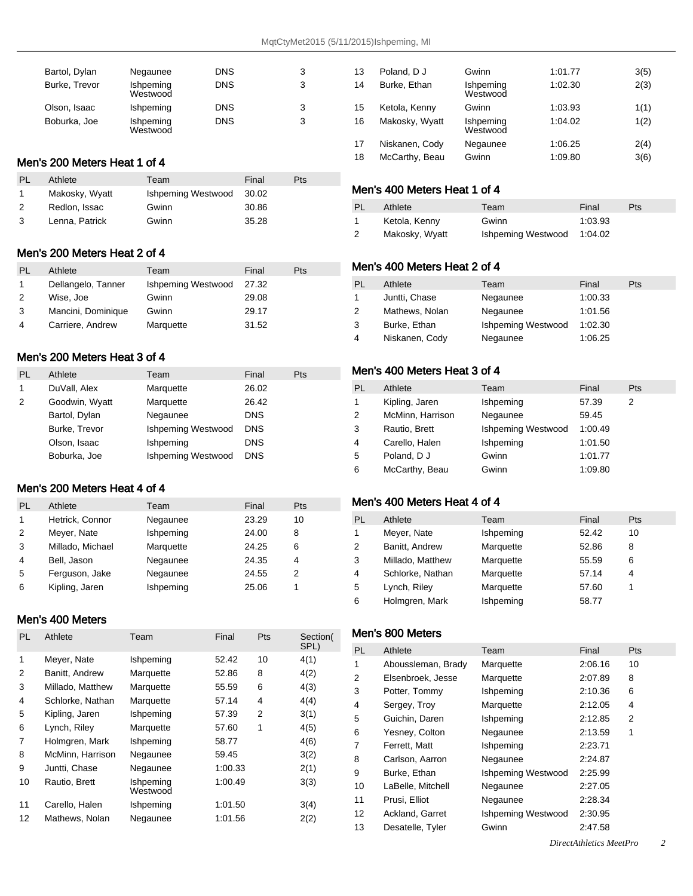| Bartol, Dylan | Negaunee              | <b>DNS</b> | 3 |
|---------------|-----------------------|------------|---|
| Burke, Trevor | Ishpeming<br>Westwood | <b>DNS</b> | 3 |
| Olson, Isaac  | Ishpeming             | <b>DNS</b> | 3 |
| Boburka, Joe  | Ishpeming<br>Westwood | <b>DNS</b> | 3 |

## Men's 200 Meters Heat 1 of 4

| <b>PL</b> | Athlete        | Team               | Final | Pts |
|-----------|----------------|--------------------|-------|-----|
| 1         | Makosky, Wyatt | Ishpeming Westwood | 30.02 |     |
| 2         | Redlon, Issac  | Gwinn              | 30.86 |     |
| 3         | Lenna, Patrick | Gwinn              | 35.28 |     |

### Men's 200 Meters Heat 2 of 4

| PL | Athlete            | Team               | Final | Pts |
|----|--------------------|--------------------|-------|-----|
|    | Dellangelo, Tanner | Ishpeming Westwood | 27.32 |     |
| 2  | Wise, Joe          | Gwinn              | 29.08 |     |
| 3  | Mancini, Dominique | Gwinn              | 29.17 |     |
| 4  | Carriere, Andrew   | Marquette          | 31.52 |     |

### Men's 200 Meters Heat 3 of 4

| PL | Athlete        | Team               | Final      | Pts |
|----|----------------|--------------------|------------|-----|
| 1  | DuVall, Alex   | Marquette          | 26.02      |     |
| 2  | Goodwin, Wyatt | Marquette          | 26.42      |     |
|    | Bartol, Dylan  | Negaunee           | <b>DNS</b> |     |
|    | Burke, Trevor  | Ishpeming Westwood | <b>DNS</b> |     |
|    | Olson, Isaac   | Ishpeming          | <b>DNS</b> |     |
|    | Boburka, Joe   | Ishpeming Westwood | <b>DNS</b> |     |

### Men's 200 Meters Heat 4 of 4

| PL           | Athlete          | Team      | Final | Pts |
|--------------|------------------|-----------|-------|-----|
| $\mathbf{1}$ | Hetrick, Connor  | Negaunee  | 23.29 | 10  |
| 2            | Meyer, Nate      | Ishpeming | 24.00 | 8   |
| 3            | Millado, Michael | Marquette | 24.25 | 6   |
| 4            | Bell, Jason      | Negaunee  | 24.35 | 4   |
| 5            | Ferguson, Jake   | Negaunee  | 24.55 | 2   |
| 6            | Kipling, Jaren   | Ishpeming | 25.06 |     |

### Men's 400 Meters

| <b>PL</b> | Athlete          | Team                  | Final   | Pts | Section(<br>SPL) |
|-----------|------------------|-----------------------|---------|-----|------------------|
| 1         | Meyer, Nate      | Ishpeming             | 52.42   | 10  | 4(1)             |
| 2         | Banitt, Andrew   | Marquette             | 52.86   | 8   | 4(2)             |
| 3         | Millado, Matthew | Marquette             | 55.59   | 6   | 4(3)             |
| 4         | Schlorke, Nathan | Marquette             | 57.14   | 4   | 4(4)             |
| 5         | Kipling, Jaren   | Ishpeming             | 57.39   | 2   | 3(1)             |
| 6         | Lynch, Riley     | Marquette             | 57.60   | 1   | 4(5)             |
| 7         | Holmgren, Mark   | Ishpeming             | 58.77   |     | 4(6)             |
| 8         | McMinn, Harrison | Negaunee              | 59.45   |     | 3(2)             |
| 9         | Juntti, Chase    | Negaunee              | 1:00.33 |     | 2(1)             |
| 10        | Rautio, Brett    | Ishpeming<br>Westwood | 1:00.49 |     | 3(3)             |
| 11        | Carello, Halen   | Ishpeming             | 1:01.50 |     | 3(4)             |
| 12        | Mathews, Nolan   | Negaunee              | 1:01.56 |     | 2(2)             |

| 13 | Poland, D J    | Gwinn                 | 1:01.77 | 3(5) |
|----|----------------|-----------------------|---------|------|
| 14 | Burke, Ethan   | Ishpeming<br>Westwood | 1:02.30 | 2(3) |
| 15 | Ketola, Kenny  | Gwinn                 | 1:03.93 | 1(1) |
| 16 | Makosky, Wyatt | Ishpeming<br>Westwood | 1:04.02 | 1(2) |
| 17 | Niskanen, Cody | Negaunee              | 1:06.25 | 2(4) |
| 18 | McCarthy, Beau | Gwinn                 | 1:09.80 | 3(6) |
|    |                |                       |         |      |

# Men's 400 Meters Heat 1 of 4

| PL | Athlete        | Team                       | Final   | <b>Pts</b> |
|----|----------------|----------------------------|---------|------------|
|    | Ketola, Kenny  | Gwinn                      | 1:03.93 |            |
| 2  | Makosky, Wyatt | Ishpeming Westwood 1:04.02 |         |            |

### Men's 400 Meters Heat 2 of 4

| PL | Athlete        | Team               | Final   | Pts |
|----|----------------|--------------------|---------|-----|
| 1  | Juntti, Chase  | Negaunee           | 1:00.33 |     |
| 2  | Mathews, Nolan | Negaunee           | 1:01.56 |     |
| 3  | Burke, Ethan   | Ishpeming Westwood | 1:02.30 |     |
| 4  | Niskanen, Cody | Negaunee           | 1:06.25 |     |

### Men's 400 Meters Heat 3 of 4

| PL           | Athlete          | Team               | Final   | <b>Pts</b> |
|--------------|------------------|--------------------|---------|------------|
| $\mathbf{1}$ | Kipling, Jaren   | Ishpeming          | 57.39   | 2          |
| 2            | McMinn, Harrison | Negaunee           | 59.45   |            |
| 3            | Rautio, Brett    | Ishpeming Westwood | 1:00.49 |            |
| 4            | Carello, Halen   | Ishpeming          | 1:01.50 |            |
| 5            | Poland, D J      | Gwinn              | 1:01.77 |            |
| 6            | McCarthy, Beau   | Gwinn              | 1:09.80 |            |

### Men's 400 Meters Heat 4 of 4

| PL. | Athlete          | Team      | Final | <b>Pts</b> |
|-----|------------------|-----------|-------|------------|
| 1   | Meyer, Nate      | Ishpeming | 52.42 | 10         |
| 2   | Banitt, Andrew   | Marquette | 52.86 | 8          |
| 3   | Millado, Matthew | Marquette | 55.59 | 6          |
| 4   | Schlorke, Nathan | Marquette | 57.14 | 4          |
| 5   | Lynch, Riley     | Marquette | 57.60 |            |
| 6   | Holmgren, Mark   | Ishpeming | 58.77 |            |

### Men's 800 Meters

| <b>PL</b>         | Athlete            | Team               | Final   | Pts |
|-------------------|--------------------|--------------------|---------|-----|
| 1                 | Aboussleman, Brady | Marquette          | 2:06.16 | 10  |
| 2                 | Elsenbroek, Jesse  | Marquette          | 2:07.89 | 8   |
| 3                 | Potter, Tommy      | Ishpeming          | 2:10.36 | 6   |
| 4                 | Sergey, Troy       | Marquette          | 2:12.05 | 4   |
| 5                 | Guichin, Daren     | Ishpeming          | 2:12.85 | 2   |
| 6                 | Yesney, Colton     | Negaunee           | 2:13.59 | 1   |
| 7                 | Ferrett. Matt      | Ishpeming          | 2:23.71 |     |
| 8                 | Carlson, Aarron    | Negaunee           | 2:24.87 |     |
| 9                 | Burke, Ethan       | Ishpeming Westwood | 2.25.99 |     |
| 10                | LaBelle, Mitchell  | Negaunee           | 2:27.05 |     |
| 11                | Prusi, Elliot      | Negaunee           | 2:28.34 |     |
| $12 \overline{ }$ | Ackland, Garret    | Ishpeming Westwood | 2:30.95 |     |
| 13                | Desatelle, Tyler   | Gwinn              | 2:47.58 |     |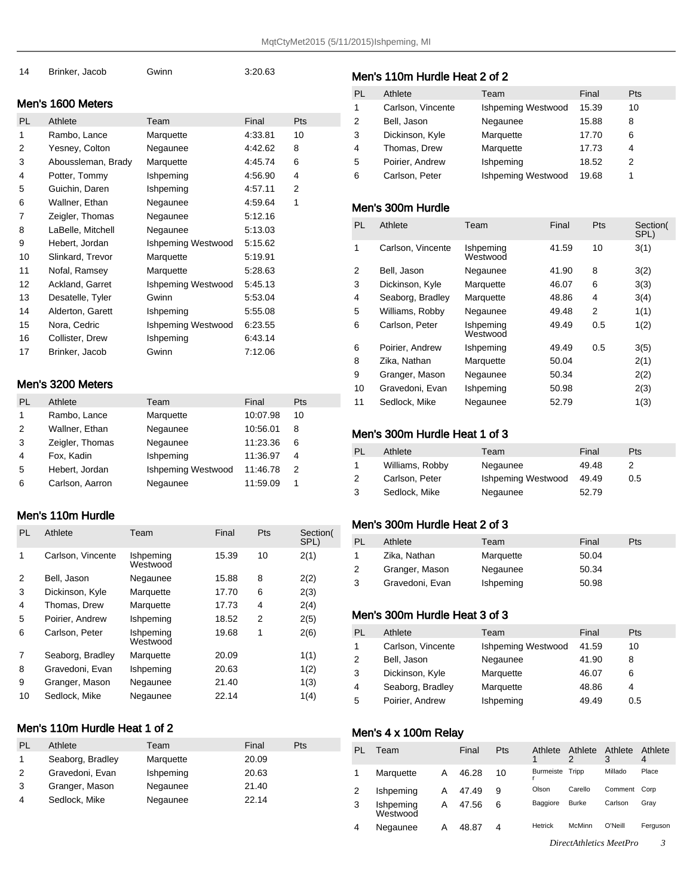| 14 | Brinker, Jacob | Gwinn | 3:20.63 |
|----|----------------|-------|---------|
|    |                |       |         |

#### Men's 1600 Meters

| PL. | Athlete            | Team               | Final   | Pts |
|-----|--------------------|--------------------|---------|-----|
| 1   | Rambo, Lance       | Marquette          | 4:33.81 | 10  |
| 2   | Yesney, Colton     | Negaunee           | 4:42.62 | 8   |
| 3   | Aboussleman, Brady | Marquette          | 4:45.74 | 6   |
| 4   | Potter, Tommy      | Ishpeming          | 4:56.90 | 4   |
| 5   | Guichin, Daren     | Ishpeming          | 4:57.11 | 2   |
| 6   | Wallner, Ethan     | Negaunee           | 4:59.64 | 1   |
| 7   | Zeigler, Thomas    | Negaunee           | 5:12.16 |     |
| 8   | LaBelle, Mitchell  | Negaunee           | 5:13.03 |     |
| 9   | Hebert, Jordan     | Ishpeming Westwood | 5:15.62 |     |
| 10  | Slinkard, Trevor   | Marquette          | 5:19.91 |     |
| 11  | Nofal, Ramsey      | Marquette          | 5.28.63 |     |
| 12  | Ackland, Garret    | Ishpeming Westwood | 5:45.13 |     |
| 13  | Desatelle, Tyler   | Gwinn              | 5:53.04 |     |
| 14  | Alderton, Garett   | Ishpeming          | 5:55.08 |     |
| 15  | Nora, Cedric       | Ishpeming Westwood | 6:23.55 |     |
| 16  | Collister, Drew    | Ishpeming          | 6.43.14 |     |
| 17  | Brinker, Jacob     | Gwinn              | 7:12.06 |     |
|     |                    |                    |         |     |

#### Men's 3200 Meters

| PL | Athlete         | Team                      | Final    | Pts |
|----|-----------------|---------------------------|----------|-----|
| 1  | Rambo, Lance    | Marquette                 | 10:07.98 | 10  |
| 2  | Wallner, Ethan  | Negaunee                  | 10:56.01 | 8   |
| 3  | Zeigler, Thomas | Negaunee                  | 11:23.36 | 6   |
| 4  | Fox, Kadin      | Ishpeming                 | 11:36.97 | 4   |
| 5  | Hebert, Jordan  | <b>Ishpeming Westwood</b> | 11:46.78 | 2   |
| 6  | Carlson, Aarron | Negaunee                  | 11:59.09 |     |

#### Men's 110m Hurdle

| PL | Athlete           | Team                  | Final | Pts | Section(<br>SPL) |
|----|-------------------|-----------------------|-------|-----|------------------|
| 1  | Carlson, Vincente | Ishpeming<br>Westwood | 15.39 | 10  | 2(1)             |
| 2  | Bell, Jason       | Negaunee              | 15.88 | 8   | 2(2)             |
| 3  | Dickinson, Kyle   | Marquette             | 17.70 | 6   | 2(3)             |
| 4  | Thomas, Drew      | Marquette             | 17.73 | 4   | 2(4)             |
| 5  | Poirier, Andrew   | Ishpeming             | 18.52 | 2   | 2(5)             |
| 6  | Carlson, Peter    | Ishpeming<br>Westwood | 19.68 | 1   | 2(6)             |
| 7  | Seaborg, Bradley  | Marquette             | 20.09 |     | 1(1)             |
| 8  | Gravedoni, Evan   | Ishpeming             | 20.63 |     | 1(2)             |
| 9  | Granger, Mason    | Negaunee              | 21.40 |     | 1(3)             |
| 10 | Sedlock, Mike     | Negaunee              | 22.14 |     | 1(4)             |

### Men's 110m Hurdle Heat 1 of 2

| PL | Athlete          | Team      | Final | Pts |
|----|------------------|-----------|-------|-----|
| 1  | Seaborg, Bradley | Marquette | 20.09 |     |
| 2  | Gravedoni, Evan  | Ishpeming | 20.63 |     |
| 3  | Granger, Mason   | Negaunee  | 21.40 |     |
| 4  | Sedlock, Mike    | Negaunee  | 22.14 |     |
|    |                  |           |       |     |

### Men's 110m Hurdle Heat 2 of 2

| PL             | Athlete           | Team               | Final | <b>Pts</b> |
|----------------|-------------------|--------------------|-------|------------|
| 1              | Carlson, Vincente | Ishpeming Westwood | 15.39 | 10         |
| $\overline{2}$ | Bell, Jason       | Negaunee           | 15.88 | 8          |
| 3              | Dickinson, Kyle   | Marquette          | 17.70 | 6          |
| 4              | Thomas, Drew      | Marquette          | 17.73 | 4          |
| 5              | Poirier, Andrew   | Ishpeming          | 18.52 | 2          |
| 6              | Carlson, Peter    | Ishpeming Westwood | 19.68 |            |
|                |                   |                    |       |            |

## Men's 300m Hurdle

| PL | Athlete           | Team                  | Final | <b>Pts</b> | Section(<br>SPL) |
|----|-------------------|-----------------------|-------|------------|------------------|
| 1  | Carlson, Vincente | Ishpeming<br>Westwood | 41.59 | 10         | 3(1)             |
| 2  | Bell, Jason       | Negaunee              | 41.90 | 8          | 3(2)             |
| 3  | Dickinson, Kyle   | Marquette             | 46.07 | 6          | 3(3)             |
| 4  | Seaborg, Bradley  | Marquette             | 48.86 | 4          | 3(4)             |
| 5  | Williams, Robby   | Negaunee              | 49.48 | 2          | 1(1)             |
| 6  | Carlson, Peter    | Ishpeming<br>Westwood | 49.49 | 0.5        | 1(2)             |
| 6  | Poirier, Andrew   | Ishpeming             | 49.49 | 0.5        | 3(5)             |
| 8  | Zika, Nathan      | Marquette             | 50.04 |            | 2(1)             |
| 9  | Granger, Mason    | Negaunee              | 50.34 |            | 2(2)             |
| 10 | Gravedoni, Evan   | Ishpeming             | 50.98 |            | 2(3)             |
| 11 | Sedlock, Mike     | Negaunee              | 52.79 |            | 1(3)             |

#### Men's 300m Hurdle Heat 1 of 3

| PL | Athlete         | Team               | Final | <b>Pts</b> |
|----|-----------------|--------------------|-------|------------|
| 1  | Williams, Robby | Negaunee           | 49.48 |            |
| 2  | Carlson, Peter  | Ishpeming Westwood | 49.49 | 0.5        |
| 3  | Sedlock, Mike   | Negaunee           | 52.79 |            |

#### Men's 300m Hurdle Heat 2 of 3

| <b>PL</b> | Athlete         | Team      | Final | <b>Pts</b> |
|-----------|-----------------|-----------|-------|------------|
| 1         | Zika, Nathan    | Marquette | 50.04 |            |
| 2         | Granger, Mason  | Negaunee  | 50.34 |            |
| 3         | Gravedoni, Evan | Ishpeming | 50.98 |            |

### Men's 300m Hurdle Heat 3 of 3

| PL | Athlete           | Team                      | Final | <b>Pts</b> |
|----|-------------------|---------------------------|-------|------------|
| 1  | Carlson, Vincente | <b>Ishpeming Westwood</b> | 41.59 | 10         |
| 2  | Bell, Jason       | Negaunee                  | 41.90 |            |
| 3  | Dickinson, Kyle   | Marquette                 | 46.07 | 6          |
| 4  | Seaborg, Bradley  | Marquette                 | 48.86 | 4          |
| 5  | Poirier, Andrew   | Ishpeming                 | 49.49 | 0.5        |

#### Men's 4 x 100m Relay

| PL | Team                  |   | Final | Pts | Athlete         | Athlete      | Athlete | Athlete<br>4 |
|----|-----------------------|---|-------|-----|-----------------|--------------|---------|--------------|
|    | Marquette             | А | 46.28 | 10  | Burmeiste Tripp |              | Millado | Place        |
|    | Ishpeming             | А | 47.49 | 9   | Olson           | Carello      | Comment | Corp         |
| 3  | Ishpeming<br>Westwood | А | 47.56 | 6   | Baggiore        | <b>Burke</b> | Carlson | Grav         |
| 4  | Negaunee              | Α | 48.87 | 4   | Hetrick         | McMinn       | O'Neill | Ferguson     |
|    |                       |   |       |     |                 | .            |         |              |

*DirectAthletics MeetPro 3*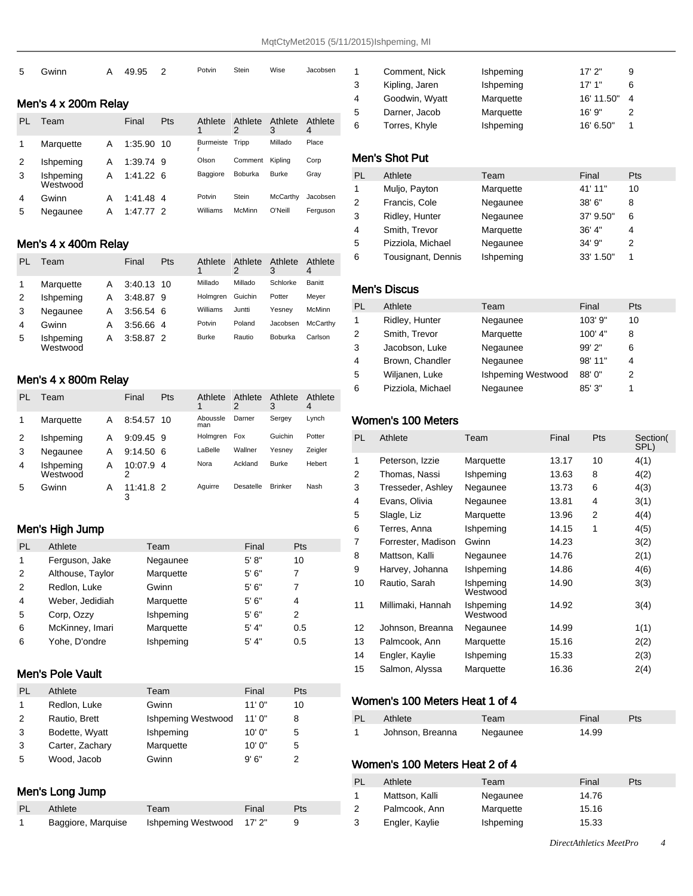| 5 | Gwinn                | A | 49.95 2 | Potvin | Stein | Wise | Jacobsen |
|---|----------------------|---|---------|--------|-------|------|----------|
|   | Men's 4 x 200m Relay |   |         |        |       |      |          |

| PL             | Team                  |   | Final      | Pts | Athlete   | Athlete<br>2 | Athlete<br>3 | Athlete<br>4 |
|----------------|-----------------------|---|------------|-----|-----------|--------------|--------------|--------------|
|                | Marquette             | A | 1:35.90 10 |     | Burmeiste | Tripp        | Millado      | Place        |
| 2              | Ishpeming             | Α | 1:39.74 9  |     | Olson     | Comment      | Kipling      | Corp         |
| 3              | Ishpeming<br>Westwood | А | 1:41.226   |     | Baggiore  | Boburka      | <b>Burke</b> | Gray         |
| $\overline{4}$ | Gwinn                 | А | 1:41.48 4  |     | Potvin    | Stein        | McCarthy     | Jacobsen     |
| 5              | Negaunee              | А | 1:47.77    |     | Williams  | McMinn       | O'Neill      | Ferguson     |

# Men's 4 x 400m Relay

| PI. | Team                  |   | Final       | Pts | Athlete      | Athlete<br>2 | Athlete<br>3   | Athlete<br>4 |
|-----|-----------------------|---|-------------|-----|--------------|--------------|----------------|--------------|
|     | Marquette             | A | 3:40.13 10  |     | Millado      | Millado      | Schlorke       | Banitt       |
| 2   | Ishpeming             | А | 3:48.87 9   |     | Holmaren     | Guichin      | Potter         | Meyer        |
| 3   | Negaunee              | A | $3:56.54$ 6 |     | Williams     | Juntti       | Yesnev         | McMinn       |
| 4   | Gwinn                 | А | 3:56.66 4   |     | Potvin       | Poland       | Jacobsen       | McCarthy     |
| 5   | Ishpeming<br>Westwood | Α | 3:58.87 2   |     | <b>Burke</b> | Rautio       | <b>Boburka</b> | Carlson      |

#### Men's 4 x 800m Relay

| PL | Team                  |   | Final          | Pts  | Athlete         | Athlete   | Athlete        | Athlete |
|----|-----------------------|---|----------------|------|-----------------|-----------|----------------|---------|
|    |                       |   |                |      |                 | 2         | 3              | 4       |
|    | Marquette             | Α | 8:54.57        | - 10 | Aboussle<br>man | Darner    | Sergey         | Lynch   |
| 2  | Ishpeming             | А | 9:09.45 9      |      | Holmgren        | Fox       | Guichin        | Potter  |
| 3  | Negaunee              | А | $9:14.50$ 6    |      | LaBelle         | Wallner   | Yesney         | Zeigler |
| 4  | Ishpeming<br>Westwood | Α | 10:07.9 4      |      | Nora            | Ackland   | <b>Burke</b>   | Hebert  |
| 5  | Gwinn                 | А | 11:41.8 2<br>3 |      | Aquirre         | Desatelle | <b>Brinker</b> | Nash    |

#### Men's High Jump

| <b>PL</b> | Athlete          | Team      | Final  | <b>Pts</b> |
|-----------|------------------|-----------|--------|------------|
| 1         | Ferguson, Jake   | Negaunee  | 5' 8'' | 10         |
| 2         | Althouse, Taylor | Marquette | 5'6''  | 7          |
| 2         | Redlon, Luke     | Gwinn     | 5'6''  | 7          |
| 4         | Weber, Jedidiah  | Marquette | 5'6''  | 4          |
| 5         | Corp. Ozzy       | Ishpeming | 5'6''  | 2          |
| 6         | McKinney, Imari  | Marquette | 5' 4"  | 0.5        |
| 6         | Yohe, D'ondre    | Ishpeming | 5' 4"  | 0.5        |
|           |                  |           |        |            |

### Men's Pole Vault

| PL | Athlete         | Team               | Final  | Pts |
|----|-----------------|--------------------|--------|-----|
|    | Redlon, Luke    | Gwinn              | 11'0"  | 10  |
| 2  | Rautio, Brett   | Ishpeming Westwood | 11'0"  | 8   |
| 3  | Bodette, Wyatt  | Ishpeming          | 10'0'' | 5   |
| 3  | Carter, Zachary | Marquette          | 10'0'' | 5   |
| 5  | Wood, Jacob     | Gwinn              | 9'6''  |     |

# Men's Long Jump

| <b>PL</b> | Athlete            | Team                     | Final | Pts |
|-----------|--------------------|--------------------------|-------|-----|
|           | Baggiore, Marquise | Ishpeming Westwood 17'2" |       |     |

| 1 | Comment, Nick  | Ishpeming | 17'2"      | 9 |
|---|----------------|-----------|------------|---|
| 3 | Kipling, Jaren | Ishpeming | 17'1"      | 6 |
| 4 | Goodwin, Wyatt | Marquette | 16' 11.50" |   |
| 5 | Darner, Jacob  | Marquette | 16'9''     |   |
| 6 | Torres, Khyle  | Ishpeming | 16' 6.50"  |   |
|   |                |           |            |   |

### Men's Shot Put

| PL | Athlete            | Team      | Final     | <b>Pts</b> |
|----|--------------------|-----------|-----------|------------|
| 1  | Muljo, Payton      | Marquette | 41' 11"   | 10         |
| 2  | Francis, Cole      | Negaunee  | 38' 6"    | 8          |
| 3  | Ridley, Hunter     | Negaunee  | 37' 9.50" | 6          |
| 4  | Smith, Trevor      | Marquette | 36' 4''   | 4          |
| 5  | Pizziola, Michael  | Negaunee  | 34' 9"    | 2          |
| 6  | Tousignant, Dennis | Ishpeming | 33' 1.50" |            |
|    |                    |           |           |            |

### Men's Discus

| PL | Athlete           | Team               | Final     | <b>Pts</b> |
|----|-------------------|--------------------|-----------|------------|
| 1  | Ridley, Hunter    | Negaunee           | 103' 9"   | 10         |
| 2  | Smith, Trevor     | Marquette          | $100'$ 4" | 8          |
| 3  | Jacobson, Luke    | Negaunee           | 99' 2"    | 6          |
| 4  | Brown, Chandler   | Negaunee           | 98' 11"   | 4          |
| 5  | Wiljanen, Luke    | Ishpeming Westwood | 88' 0"    | 2          |
| 6  | Pizziola, Michael | Negaunee           | 85' 3"    |            |

### Women's 100 Meters

| <b>PL</b> | Athlete            | Team                  | Final | Pts | Section(<br>SPL) |
|-----------|--------------------|-----------------------|-------|-----|------------------|
| 1         | Peterson, Izzie    | Marquette             | 13.17 | 10  | 4(1)             |
| 2         | Thomas, Nassi      | Ishpeming             | 13.63 | 8   | 4(2)             |
| 3         | Tresseder, Ashley  | Negaunee              | 13.73 | 6   | 4(3)             |
| 4         | Evans, Olivia      | Negaunee              | 13.81 | 4   | 3(1)             |
| 5         | Slagle, Liz        | Marquette             | 13.96 | 2   | 4(4)             |
| 6         | Terres, Anna       | Ishpeming             | 14.15 | 1   | 4(5)             |
| 7         | Forrester, Madison | Gwinn                 | 14.23 |     | 3(2)             |
| 8         | Mattson, Kalli     | Negaunee              | 14.76 |     | 2(1)             |
| 9         | Harvey, Johanna    | Ishpeming             | 14.86 |     | 4(6)             |
| 10        | Rautio, Sarah      | Ishpeming<br>Westwood | 14.90 |     | 3(3)             |
| 11        | Millimaki, Hannah  | Ishpeming<br>Westwood | 14.92 |     | 3(4)             |
| 12        | Johnson, Breanna   | Negaunee              | 14.99 |     | 1(1)             |
| 13        | Palmcook, Ann      | Marquette             | 15.16 |     | 2(2)             |
| 14        | Engler, Kaylie     | Ishpeming             | 15.33 |     | 2(3)             |
| 15        | Salmon, Alyssa     | Marquette             | 16.36 |     | 2(4)             |

### Women's 100 Meters Heat 1 of 4

| PL | Athlete          | Team     | Final | Pts |
|----|------------------|----------|-------|-----|
|    | Johnson, Breanna | Negaunee | 14.99 |     |

## Women's 100 Meters Heat 2 of 4

| PL | Athlete        | Team             | Final | Pts |
|----|----------------|------------------|-------|-----|
| 1  | Mattson, Kalli | Negaunee         | 14.76 |     |
| 2  | Palmcook, Ann  | Marquette        | 15.16 |     |
| 3  | Engler, Kaylie | <b>Ishpeming</b> | 15.33 |     |
|    |                |                  |       |     |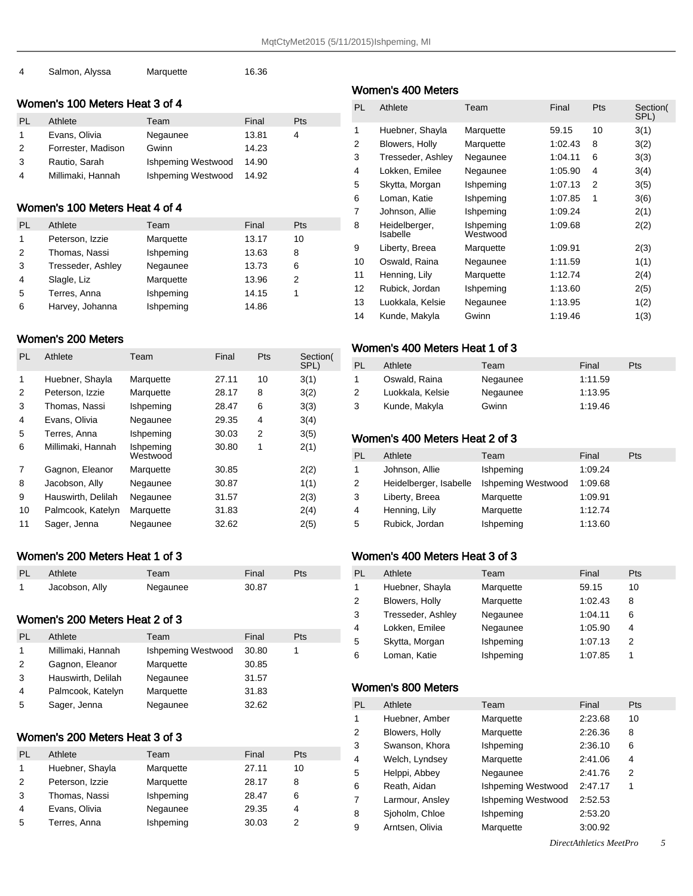| Salmon, Alyssa | Marquette | 16.36 |
|----------------|-----------|-------|
|                |           |       |

#### Women's 100 Meters Heat 3 of 4

| PI.           | Athlete            | Team               | Final | Pts |
|---------------|--------------------|--------------------|-------|-----|
|               | Evans, Olivia      | Negaunee           | 13.81 | 4   |
| $\mathcal{P}$ | Forrester, Madison | Gwinn              | 14.23 |     |
| 3             | Rautio, Sarah      | Ishpeming Westwood | 14.90 |     |
| 4             | Millimaki, Hannah  | Ishpeming Westwood | 14.92 |     |

### Women's 100 Meters Heat 4 of 4

| PL | Athlete           | Team      | Final | Pts |
|----|-------------------|-----------|-------|-----|
| 1  | Peterson, Izzie   | Marquette | 13.17 | 10  |
| 2  | Thomas, Nassi     | Ishpeming | 13.63 | 8   |
| 3  | Tresseder, Ashley | Negaunee  | 13.73 | 6   |
| 4  | Slagle, Liz       | Marquette | 13.96 | 2   |
| 5  | Terres, Anna      | Ishpeming | 14.15 |     |
| 6  | Harvey, Johanna   | Ishpeming | 14.86 |     |

#### Women's 200 Meters

| <b>PL</b> | Athlete            | Team                  | Final | Pts | Section(<br>SPL) |
|-----------|--------------------|-----------------------|-------|-----|------------------|
| 1         | Huebner, Shayla    | Marquette             | 27.11 | 10  | 3(1)             |
| 2         | Peterson, Izzie    | Marquette             | 28.17 | 8   | 3(2)             |
| 3         | Thomas, Nassi      | Ishpeming             | 28.47 | 6   | 3(3)             |
| 4         | Evans, Olivia      | Negaunee              | 29.35 | 4   | 3(4)             |
| 5         | Terres, Anna       | Ishpeming             | 30.03 | 2   | 3(5)             |
| 6         | Millimaki, Hannah  | Ishpeming<br>Westwood | 30.80 | 1   | 2(1)             |
| 7         | Gagnon, Eleanor    | Marquette             | 30.85 |     | 2(2)             |
| 8         | Jacobson, Ally     | Negaunee              | 30.87 |     | 1(1)             |
| 9         | Hauswirth, Delilah | Negaunee              | 31.57 |     | 2(3)             |
| 10        | Palmcook, Katelyn  | Marquette             | 31.83 |     | 2(4)             |
| 11        | Sager, Jenna       | Negaunee              | 32.62 |     | 2(5)             |

### Women's 200 Meters Heat 1 of 3

| PL | Athlete        | Team     | Final | Pts |
|----|----------------|----------|-------|-----|
|    | Jacobson, Ally | Negaunee | 30.87 |     |

### Women's 200 Meters Heat 2 of 3

| PL | Athlete            | Team                      | Final | Pts |
|----|--------------------|---------------------------|-------|-----|
| 1  | Millimaki, Hannah  | <b>Ishpeming Westwood</b> | 30.80 |     |
| 2  | Gagnon, Eleanor    | Marquette                 | 30.85 |     |
| 3  | Hauswirth, Delilah | Negaunee                  | 31.57 |     |
| 4  | Palmcook, Katelyn  | Marquette                 | 31.83 |     |
| 5  | Sager, Jenna       | Negaunee                  | 32.62 |     |

### Women's 200 Meters Heat 3 of 3

| PI. | Athlete         | Team      | Final | <b>Pts</b> |
|-----|-----------------|-----------|-------|------------|
|     | Huebner, Shayla | Marquette | 27.11 | 10         |
| 2   | Peterson, Izzie | Marquette | 28.17 | 8          |
| 3   | Thomas, Nassi   | Ishpeming | 28.47 | 6          |
| 4   | Evans, Olivia   | Negaunee  | 29.35 |            |
| 5   | Terres, Anna    | Ishpeming | 30.03 |            |

# Women's 400 Meters

| PL | Athlete                   | Team                  | Final   | Pts | Section(<br>SPL) |
|----|---------------------------|-----------------------|---------|-----|------------------|
| 1  | Huebner, Shayla           | Marquette             | 59.15   | 10  | 3(1)             |
| 2  | Blowers, Holly            | Marquette             | 1:02.43 | 8   | 3(2)             |
| 3  | Tresseder, Ashley         | Negaunee              | 1:04.11 | 6   | 3(3)             |
| 4  | Lokken, Emilee            | Negaunee              | 1:05.90 | 4   | 3(4)             |
| 5  | Skytta, Morgan            | Ishpeming             | 1:07.13 | 2   | 3(5)             |
| 6  | Loman, Katie              | Ishpeming             | 1:07.85 | 1   | 3(6)             |
| 7  | Johnson, Allie            | Ishpeming             | 1:09.24 |     | 2(1)             |
| 8  | Heidelberger,<br>Isabelle | Ishpeming<br>Westwood | 1:09.68 |     | 2(2)             |
| 9  | Liberty, Breea            | Marquette             | 1:09.91 |     | 2(3)             |
| 10 | Oswald, Raina             | Negaunee              | 1:11.59 |     | 1(1)             |
| 11 | Henning, Lily             | Marquette             | 1:12.74 |     | 2(4)             |
| 12 | Rubick, Jordan            | Ishpeming             | 1:13.60 |     | 2(5)             |
| 13 | Luokkala, Kelsie          | Negaunee              | 1:13.95 |     | 1(2)             |
| 14 | Kunde, Makyla             | Gwinn                 | 1:19.46 |     | 1(3)             |

#### Women's 400 Meters Heat 1 of 3

| PL | Athlete          | Team     | Final   | Pts |
|----|------------------|----------|---------|-----|
| 1  | Oswald, Raina    | Negaunee | 1:11.59 |     |
| 2  | Luokkala, Kelsie | Negaunee | 1:13.95 |     |
| 3  | Kunde, Makyla    | Gwinn    | 1:19.46 |     |

# Women's 400 Meters Heat 2 of 3

| PL | Athlete                | Team               | Final   | <b>Pts</b> |
|----|------------------------|--------------------|---------|------------|
| 1  | Johnson, Allie         | Ishpeming          | 1:09.24 |            |
| 2  | Heidelberger, Isabelle | Ishpeming Westwood | 1:09.68 |            |
| 3  | Liberty, Breea         | Marquette          | 1:09.91 |            |
| 4  | Henning, Lily          | Marquette          | 1:12.74 |            |
| 5. | Rubick, Jordan         | Ishpeming          | 1:13.60 |            |

# Women's 400 Meters Heat 3 of 3

| PL | Athlete           | Team      | Final   | Pts |
|----|-------------------|-----------|---------|-----|
| 1  | Huebner, Shayla   | Marquette | 59.15   | 10  |
| 2  | Blowers, Holly    | Marquette | 1:02.43 | 8   |
| 3  | Tresseder, Ashley | Negaunee  | 1:04.11 | 6   |
| 4  | Lokken, Emilee    | Negaunee  | 1:05.90 | 4   |
| 5. | Skytta, Morgan    | Ishpeming | 1:07.13 | 2   |
| 6  | Loman, Katie      | Ishpeming | 1:07.85 |     |

#### Women's 800 Meters

| <b>PL</b> | Athlete         | Team               | Final   | <b>Pts</b> |
|-----------|-----------------|--------------------|---------|------------|
| 1         | Huebner, Amber  | Marquette          | 2:23.68 | 10         |
| 2         | Blowers, Holly  | Marquette          | 2:26.36 | 8          |
| 3         | Swanson, Khora  | Ishpeming          | 2:36.10 | 6          |
| 4         | Welch, Lyndsey  | Marquette          | 2:41.06 | 4          |
| 5         | Helppi, Abbey   | Negaunee           | 2:41.76 | 2          |
| 6         | Reath, Aidan    | Ishpeming Westwood | 2:47.17 | 1          |
| 7         | Larmour, Ansley | Ishpeming Westwood | 2:52.53 |            |
| 8         | Sjoholm, Chloe  | Ishpeming          | 2:53.20 |            |
| 9         | Arntsen, Olivia | Marquette          | 3:00.92 |            |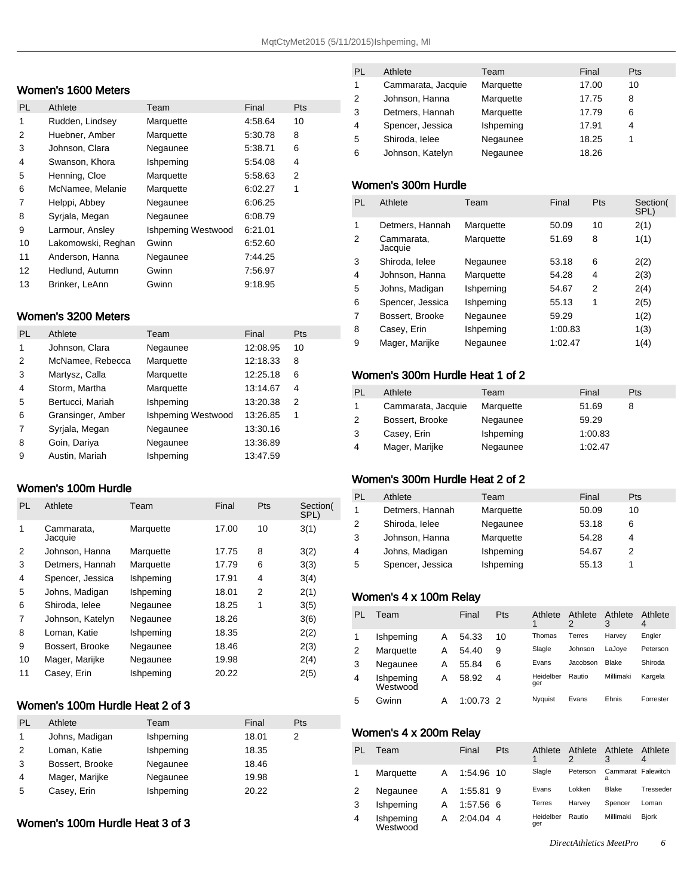#### Women's 1600 Meters

| <b>PL</b> | Athlete            | Team                      | Final   | Pts |
|-----------|--------------------|---------------------------|---------|-----|
| 1         | Rudden, Lindsey    | Marquette                 | 4:58.64 | 10  |
| 2         | Huebner, Amber     | Marquette                 | 5:30.78 | 8   |
| 3         | Johnson, Clara     | Negaunee                  | 5:38.71 | 6   |
| 4         | Swanson, Khora     | Ishpeming                 | 5:54.08 | 4   |
| 5         | Henning, Cloe      | Marquette                 | 5:58.63 | 2   |
| 6         | McNamee, Melanie   | Marquette                 | 6:02.27 | 1   |
| 7         | Helppi, Abbey      | Negaunee                  | 6:06.25 |     |
| 8         | Syrjala, Megan     | Negaunee                  | 6:08.79 |     |
| 9         | Larmour, Ansley    | <b>Ishpeming Westwood</b> | 6:21.01 |     |
| 10        | Lakomowski, Reghan | Gwinn                     | 6:52.60 |     |
| 11        | Anderson, Hanna    | Negaunee                  | 7:44.25 |     |
| 12        | Hedlund, Autumn    | Gwinn                     | 7:56.97 |     |
| 13        | Brinker, LeAnn     | Gwinn                     | 9:18.95 |     |

#### Women's 3200 Meters

| <b>PL</b> | Athlete           | Team               | Final    | <b>Pts</b> |
|-----------|-------------------|--------------------|----------|------------|
| 1         | Johnson, Clara    | Negaunee           | 12:08.95 | 10         |
| 2         | McNamee, Rebecca  | Marquette          | 12:18.33 | 8          |
| 3         | Martysz, Calla    | Marquette          | 12:25.18 | 6          |
| 4         | Storm, Martha     | Marquette          | 13:14.67 | 4          |
| 5         | Bertucci, Mariah  | Ishpeming          | 13:20.38 | 2          |
| 6         | Gransinger, Amber | Ishpeming Westwood | 13:26.85 | 1          |
| 7         | Syrjala, Megan    | Negaunee           | 13:30.16 |            |
| 8         | Goin, Dariya      | Negaunee           | 13:36.89 |            |
| 9         | Austin, Mariah    | Ishpeming          | 13:47.59 |            |

#### Women's 100m Hurdle

| PL. | Athlete               | Team      | Final | Pts | Section(<br>SPL) |
|-----|-----------------------|-----------|-------|-----|------------------|
| 1   | Cammarata,<br>Jacquie | Marquette | 17.00 | 10  | 3(1)             |
| 2   | Johnson, Hanna        | Marquette | 17.75 | 8   | 3(2)             |
| 3   | Detmers, Hannah       | Marquette | 17.79 | 6   | 3(3)             |
| 4   | Spencer, Jessica      | Ishpeming | 17.91 | 4   | 3(4)             |
| 5   | Johns, Madigan        | Ishpeming | 18.01 | 2   | 2(1)             |
| 6   | Shiroda, lelee        | Negaunee  | 18.25 | 1   | 3(5)             |
| 7   | Johnson, Katelyn      | Negaunee  | 18.26 |     | 3(6)             |
| 8   | Loman, Katie          | Ishpeming | 18.35 |     | 2(2)             |
| 9   | Bossert, Brooke       | Negaunee  | 18.46 |     | 2(3)             |
| 10  | Mager, Marijke        | Negaunee  | 19.98 |     | 2(4)             |
| 11  | Casey, Erin           | Ishpeming | 20.22 |     | 2(5)             |

#### Women's 100m Hurdle Heat 2 of 3

| PL | Athlete         | Team      | Final | <b>Pts</b> |
|----|-----------------|-----------|-------|------------|
| 1  | Johns, Madigan  | Ishpeming | 18.01 | 2          |
| 2  | Loman, Katie    | Ishpeming | 18.35 |            |
| 3  | Bossert, Brooke | Negaunee  | 18.46 |            |
| 4  | Mager, Marijke  | Negaunee  | 19.98 |            |
| 5  | Casey, Erin     | Ishpeming | 20.22 |            |

#### Women's 100m Hurdle Heat 3 of 3

| PL | Athlete            | Team      | Final | <b>Pts</b> |
|----|--------------------|-----------|-------|------------|
| 1  | Cammarata, Jacquie | Marquette | 17.00 | 10         |
| 2  | Johnson, Hanna     | Marquette | 17.75 | 8          |
| 3  | Detmers, Hannah    | Marquette | 17.79 | 6          |
| 4  | Spencer, Jessica   | Ishpeming | 17.91 | 4          |
| 5  | Shiroda, lelee     | Negaunee  | 18.25 |            |
| 6  | Johnson, Katelyn   | Negaunee  | 18.26 |            |

#### Women's 300m Hurdle

| PL | Athlete               | Team      | Final   | Pts | Section(<br>SPL) |
|----|-----------------------|-----------|---------|-----|------------------|
| 1  | Detmers, Hannah       | Marquette | 50.09   | 10  | 2(1)             |
| 2  | Cammarata,<br>Jacquie | Marquette | 51.69   | 8   | 1(1)             |
| 3  | Shiroda, lelee        | Negaunee  | 53.18   | 6   | 2(2)             |
| 4  | Johnson, Hanna        | Marquette | 54.28   | 4   | 2(3)             |
| 5  | Johns, Madigan        | Ishpeming | 54.67   | 2   | 2(4)             |
| 6  | Spencer, Jessica      | Ishpeming | 55.13   | 1   | 2(5)             |
| 7  | Bossert, Brooke       | Negaunee  | 59.29   |     | 1(2)             |
| 8  | Casey, Erin           | Ishpeming | 1:00.83 |     | 1(3)             |
| 9  | Mager, Marijke        | Negaunee  | 1:02.47 |     | 1(4)             |
|    |                       |           |         |     |                  |

#### Women's 300m Hurdle Heat 1 of 2

| <b>PL</b> | Athlete            | Team      | Final   | Pts |
|-----------|--------------------|-----------|---------|-----|
|           | Cammarata, Jacquie | Marquette | 51.69   | 8   |
| 2         | Bossert, Brooke    | Negaunee  | 59.29   |     |
| 3         | Casey, Erin        | Ishpeming | 1:00.83 |     |
| 4         | Mager, Marijke     | Negaunee  | 1:02.47 |     |

### Women's 300m Hurdle Heat 2 of 2

| PL          | Athlete          | Team      | Final | Pts |
|-------------|------------------|-----------|-------|-----|
| $\mathbf 1$ | Detmers, Hannah  | Marquette | 50.09 | 10  |
| 2           | Shiroda, lelee   | Negaunee  | 53.18 | 6   |
| 3           | Johnson, Hanna   | Marquette | 54.28 | 4   |
| 4           | Johns, Madigan   | Ishpeming | 54.67 |     |
| 5           | Spencer, Jessica | Ishpeming | 55.13 |     |

### Women's 4 x 100m Relay

| PL | Team                  |   | Final       | Pts | Athlete          | Athlete<br>2 | Athlete<br>3 | Athlete<br>4 |
|----|-----------------------|---|-------------|-----|------------------|--------------|--------------|--------------|
|    | Ishpeming             | А | 54.33       | 10  | Thomas           | Terres       | Harvev       | Engler       |
| 2  | Marquette             | А | 54.40       | 9   | Slagle           | Johnson      | LaJoye       | Peterson     |
|    | Negaunee              | А | 55.84       | 6   | Evans            | Jacobson     | Blake        | Shiroda      |
| 4  | Ishpeming<br>Westwood | А | 58.92       | 4   | Heidelber<br>ger | Rautio       | Millimaki    | Kargela      |
| 5  | Gwinn                 | А | $1:00.73$ 2 |     | Nyquist          | Evans        | Ehnis        | Forrester    |

#### Women's 4 x 200m Relay

| PI | Team                  |   | Final       | Pts | Athlete          | Athlete  | Athlete<br>3            | Athlete      |
|----|-----------------------|---|-------------|-----|------------------|----------|-------------------------|--------------|
|    | Marquette             | A | 1.54.96 10  |     | Slagle           | Peterson | Cammarat Falewitch<br>а |              |
|    | Negaunee              | A | 1:55.81 9   |     | Evans            | Lokken   | Blake                   | Tresseder    |
| 3  | Ishpeming             | А | 1:57.56 6   |     | Terres           | Harvev   | Spencer                 | Loman        |
| 4  | Ishpeming<br>Westwood | A | $2.04.04$ 4 |     | Heidelber<br>ger | Rautio   | Millimaki               | <b>Biork</b> |